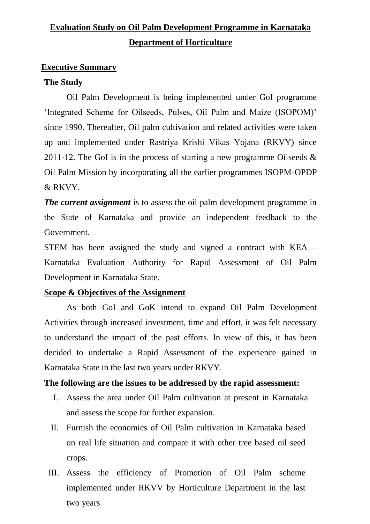## **Evaluation Study on Oil Palm Development Programme in Karnataka Department of Horticulture**

#### **Executive Summary**

#### **The Study**

Oil Palm Development is being implemented under GoI programme 'Integrated Scheme for Oilseeds, Pulses, Oil Palm and Maize (ISOPOM)' since 1990. Thereafter, Oil palm cultivation and related activities were taken up and implemented under Rastriya Krishi Vikas Yojana (RKVY) since 2011-12. The GoI is in the process of starting a new programme Oilseeds  $\&$ Oil Palm Mission by incorporating all the earlier programmes ISOPM-OPDP & RKVY.

*The current assignment* is to assess the oil palm development programme in the State of Karnataka and provide an independent feedback to the Government.

STEM has been assigned the study and signed a contract with KEA – Karnataka Evaluation Authority for Rapid Assessment of Oil Palm Development in Karnataka State.

## **Scope & Objectives of the Assignment**

As both GoI and GoK intend to expand Oil Palm Development Activities through increased investment, time and effort, it was felt necessary to understand the impact of the past efforts. In view of this, it has been decided to undertake a Rapid Assessment of the experience gained in Karnataka State in the last two years under RKVY.

#### **The following are the issues to be addressed by the rapid assessment:**

- I. Assess the area under Oil Palm cultivation at present in Karnataka and assess the scope for further expansion.
- II. Furnish the economics of Oil Palm cultivation in Karnataka based on real life situation and compare it with other tree based oil seed crops.
- III. Assess the efficiency of Promotion of Oil Palm scheme implemented under RKVV by Horticulture Department in the last two years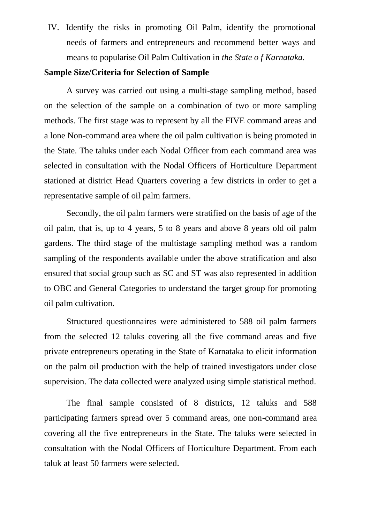IV. Identify the risks in promoting Oil Palm, identify the promotional needs of farmers and entrepreneurs and recommend better ways and means to popularise Oil Palm Cultivation in *the State o f Karnataka.*

## **Sample Size/Criteria for Selection of Sample**

A survey was carried out using a multi-stage sampling method, based on the selection of the sample on a combination of two or more sampling methods. The first stage was to represent by all the FIVE command areas and a lone Non-command area where the oil palm cultivation is being promoted in the State. The taluks under each Nodal Officer from each command area was selected in consultation with the Nodal Officers of Horticulture Department stationed at district Head Quarters covering a few districts in order to get a representative sample of oil palm farmers.

Secondly, the oil palm farmers were stratified on the basis of age of the oil palm, that is, up to 4 years, 5 to 8 years and above 8 years old oil palm gardens. The third stage of the multistage sampling method was a random sampling of the respondents available under the above stratification and also ensured that social group such as SC and ST was also represented in addition to OBC and General Categories to understand the target group for promoting oil palm cultivation.

Structured questionnaires were administered to 588 oil palm farmers from the selected 12 taluks covering all the five command areas and five private entrepreneurs operating in the State of Karnataka to elicit information on the palm oil production with the help of trained investigators under close supervision. The data collected were analyzed using simple statistical method.

The final sample consisted of 8 districts, 12 taluks and 588 participating farmers spread over 5 command areas, one non-command area covering all the five entrepreneurs in the State. The taluks were selected in consultation with the Nodal Officers of Horticulture Department. From each taluk at least 50 farmers were selected.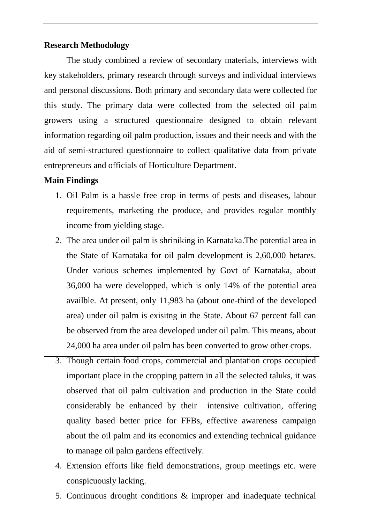#### **Research Methodology**

The study combined a review of secondary materials, interviews with key stakeholders, primary research through surveys and individual interviews and personal discussions. Both primary and secondary data were collected for this study. The primary data were collected from the selected oil palm growers using a structured questionnaire designed to obtain relevant information regarding oil palm production, issues and their needs and with the aid of semi-structured questionnaire to collect qualitative data from private entrepreneurs and officials of Horticulture Department.

## **Main Findings**

- 1. Oil Palm is a hassle free crop in terms of pests and diseases, labour requirements, marketing the produce, and provides regular monthly income from yielding stage.
- 2. The area under oil palm is shriniking in Karnataka.The potential area in the State of Karnataka for oil palm development is 2,60,000 hetares. Under various schemes implemented by Govt of Karnataka, about 36,000 ha were developped, which is only 14% of the potential area availble. At present, only 11,983 ha (about one-third of the developed area) under oil palm is exisitng in the State. About 67 percent fall can be observed from the area developed under oil palm. This means, about 24,000 ha area under oil palm has been converted to grow other crops.
- 3. Though certain food crops, commercial and plantation crops occupied important place in the cropping pattern in all the selected taluks, it was observed that oil palm cultivation and production in the State could considerably be enhanced by their intensive cultivation, offering quality based better price for FFBs, effective awareness campaign about the oil palm and its economics and extending technical guidance to manage oil palm gardens effectively.
- 4. Extension efforts like field demonstrations, group meetings etc. were conspicuously lacking.
- 5. Continuous drought conditions & improper and inadequate technical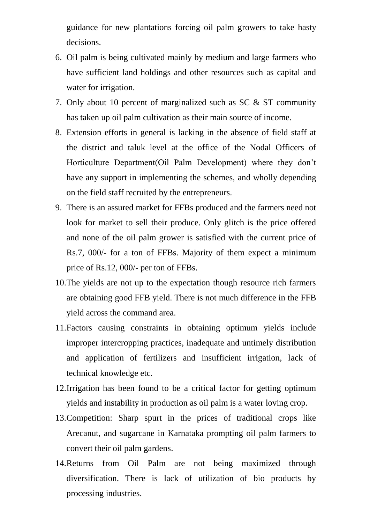guidance for new plantations forcing oil palm growers to take hasty decisions.

- 6. Oil palm is being cultivated mainly by medium and large farmers who have sufficient land holdings and other resources such as capital and water for irrigation.
- 7. Only about 10 percent of marginalized such as SC & ST community has taken up oil palm cultivation as their main source of income.
- 8. Extension efforts in general is lacking in the absence of field staff at the district and taluk level at the office of the Nodal Officers of Horticulture Department(Oil Palm Development) where they don't have any support in implementing the schemes, and wholly depending on the field staff recruited by the entrepreneurs.
- 9. There is an assured market for FFBs produced and the farmers need not look for market to sell their produce. Only glitch is the price offered and none of the oil palm grower is satisfied with the current price of Rs.7, 000/- for a ton of FFBs. Majority of them expect a minimum price of Rs.12, 000/- per ton of FFBs.
- 10.The yields are not up to the expectation though resource rich farmers are obtaining good FFB yield. There is not much difference in the FFB yield across the command area.
- 11.Factors causing constraints in obtaining optimum yields include improper intercropping practices, inadequate and untimely distribution and application of fertilizers and insufficient irrigation, lack of technical knowledge etc.
- 12.Irrigation has been found to be a critical factor for getting optimum yields and instability in production as oil palm is a water loving crop.
- 13.Competition: Sharp spurt in the prices of traditional crops like Arecanut, and sugarcane in Karnataka prompting oil palm farmers to convert their oil palm gardens.
- 14.Returns from Oil Palm are not being maximized through diversification. There is lack of utilization of bio products by processing industries.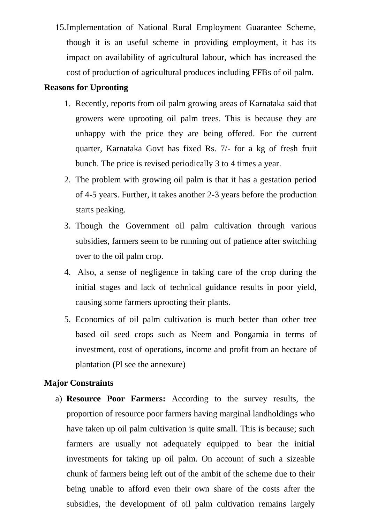15.Implementation of National Rural Employment Guarantee Scheme, though it is an useful scheme in providing employment, it has its impact on availability of agricultural labour, which has increased the cost of production of agricultural produces including FFBs of oil palm.

## **Reasons for Uprooting**

- 1. Recently, reports from oil palm growing areas of Karnataka said that growers were uprooting oil palm trees. This is because they are unhappy with the price they are being offered. For the current quarter, Karnataka Govt has fixed Rs. 7/- for a kg of fresh fruit bunch. The price is revised periodically 3 to 4 times a year.
- 2. The problem with growing oil palm is that it has a gestation period of 4-5 years. Further, it takes another 2-3 years before the production starts peaking.
- 3. Though the Government oil palm cultivation through various subsidies, farmers seem to be running out of patience after switching over to the oil palm crop.
- 4. Also, a sense of negligence in taking care of the crop during the initial stages and lack of technical guidance results in poor yield, causing some farmers uprooting their plants.
- 5. Economics of oil palm cultivation is much better than other tree based oil seed crops such as Neem and Pongamia in terms of investment, cost of operations, income and profit from an hectare of plantation (Pl see the annexure)

## **Major Constraints**

a) **Resource Poor Farmers:** According to the survey results, the proportion of resource poor farmers having marginal landholdings who have taken up oil palm cultivation is quite small. This is because; such farmers are usually not adequately equipped to bear the initial investments for taking up oil palm. On account of such a sizeable chunk of farmers being left out of the ambit of the scheme due to their being unable to afford even their own share of the costs after the subsidies, the development of oil palm cultivation remains largely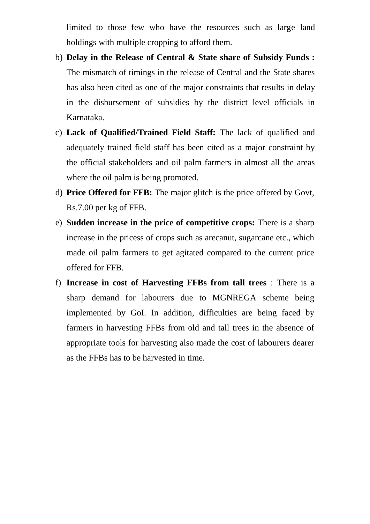limited to those few who have the resources such as large land holdings with multiple cropping to afford them.

- b) **Delay in the Release of Central & State share of Subsidy Funds :**  The mismatch of timings in the release of Central and the State shares has also been cited as one of the major constraints that results in delay in the disbursement of subsidies by the district level officials in Karnataka.
- c) **Lack of Qualified/Trained Field Staff:** The lack of qualified and adequately trained field staff has been cited as a major constraint by the official stakeholders and oil palm farmers in almost all the areas where the oil palm is being promoted.
- d) **Price Offered for FFB:** The major glitch is the price offered by Govt, Rs.7.00 per kg of FFB.
- e) **Sudden increase in the price of competitive crops:** There is a sharp increase in the pricess of crops such as arecanut, sugarcane etc., which made oil palm farmers to get agitated compared to the current price offered for FFB.
- f) **Increase in cost of Harvesting FFBs from tall trees** : There is a sharp demand for labourers due to MGNREGA scheme being implemented by GoI. In addition, difficulties are being faced by farmers in harvesting FFBs from old and tall trees in the absence of appropriate tools for harvesting also made the cost of labourers dearer as the FFBs has to be harvested in time.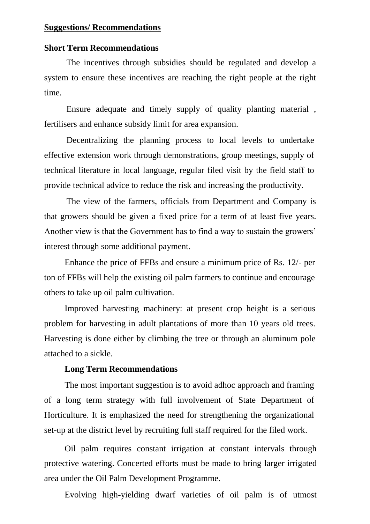## **Suggestions/ Recommendations**

#### **Short Term Recommendations**

The incentives through subsidies should be regulated and develop a system to ensure these incentives are reaching the right people at the right time.

Ensure adequate and timely supply of quality planting material , fertilisers and enhance subsidy limit for area expansion.

Decentralizing the planning process to local levels to undertake effective extension work through demonstrations, group meetings, supply of technical literature in local language, regular filed visit by the field staff to provide technical advice to reduce the risk and increasing the productivity.

The view of the farmers, officials from Department and Company is that growers should be given a fixed price for a term of at least five years. Another view is that the Government has to find a way to sustain the growers' interest through some additional payment.

Enhance the price of FFBs and ensure a minimum price of Rs. 12/- per ton of FFBs will help the existing oil palm farmers to continue and encourage others to take up oil palm cultivation.

Improved harvesting machinery: at present crop height is a serious problem for harvesting in adult plantations of more than 10 years old trees. Harvesting is done either by climbing the tree or through an aluminum pole attached to a sickle.

#### **Long Term Recommendations**

The most important suggestion is to avoid adhoc approach and framing of a long term strategy with full involvement of State Department of Horticulture. It is emphasized the need for strengthening the organizational set-up at the district level by recruiting full staff required for the filed work.

Oil palm requires constant irrigation at constant intervals through protective watering. Concerted efforts must be made to bring larger irrigated area under the Oil Palm Development Programme.

Evolving high-yielding dwarf varieties of oil palm is of utmost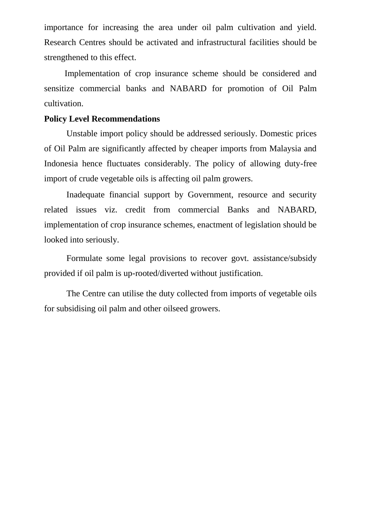importance for increasing the area under oil palm cultivation and yield. Research Centres should be activated and infrastructural facilities should be strengthened to this effect.

Implementation of crop insurance scheme should be considered and sensitize commercial banks and NABARD for promotion of Oil Palm cultivation.

#### **Policy Level Recommendations**

Unstable import policy should be addressed seriously. Domestic prices of Oil Palm are significantly affected by cheaper imports from Malaysia and Indonesia hence fluctuates considerably. The policy of allowing duty-free import of crude vegetable oils is affecting oil palm growers.

Inadequate financial support by Government, resource and security related issues viz. credit from commercial Banks and NABARD, implementation of crop insurance schemes, enactment of legislation should be looked into seriously.

Formulate some legal provisions to recover govt. assistance/subsidy provided if oil palm is up-rooted/diverted without justification.

The Centre can utilise the duty collected from imports of vegetable oils for subsidising oil palm and other oilseed growers.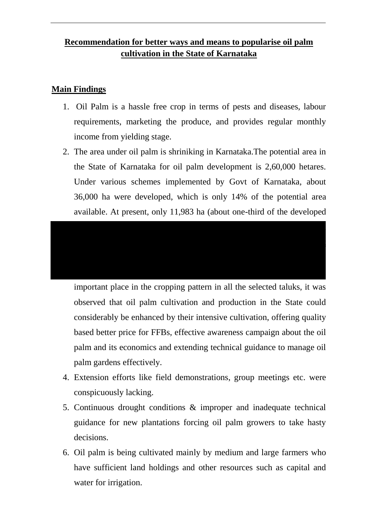## **Recommendation for better ways and means to popularise oil palm cultivation in the State of Karnataka**

## **Main Findings**

- 1. Oil Palm is a hassle free crop in terms of pests and diseases, labour requirements, marketing the produce, and provides regular monthly income from yielding stage.
- 2. The area under oil palm is shriniking in Karnataka.The potential area in the State of Karnataka for oil palm development is 2,60,000 hetares. Under various schemes implemented by Govt of Karnataka, about 36,000 ha were developed, which is only 14% of the potential area available. At present, only 11,983 ha (about one-third of the developed

# are already under only parameters in the State  $\alpha$  palm is existing in the State. About 67 percent fall can be be observed from the area developed under oil palm. This means, about the area developed under oil palm. This <br>This means, about the area developed under one of the area developed under one of the area developed under the  $3.$  Though certain food crops, commercial and plantation crops of  $\alpha$

important place in the cropping pattern in all the selected taluks, it was observed that oil palm cultivation and production in the State could considerably be enhanced by their intensive cultivation, offering quality based better price for FFBs, effective awareness campaign about the oil palm and its economics and extending technical guidance to manage oil palm gardens effectively.

- 4. Extension efforts like field demonstrations, group meetings etc. were conspicuously lacking.
- 5. Continuous drought conditions & improper and inadequate technical guidance for new plantations forcing oil palm growers to take hasty decisions.
- 6. Oil palm is being cultivated mainly by medium and large farmers who have sufficient land holdings and other resources such as capital and water for irrigation.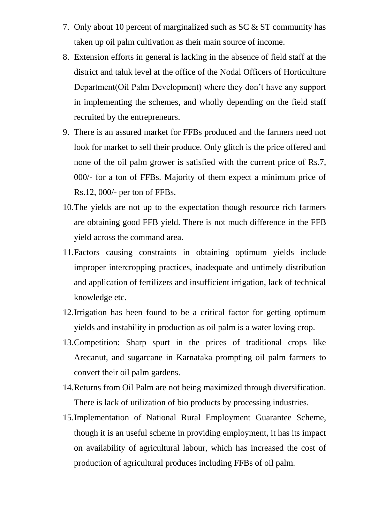- 7. Only about 10 percent of marginalized such as SC & ST community has taken up oil palm cultivation as their main source of income.
- 8. Extension efforts in general is lacking in the absence of field staff at the district and taluk level at the office of the Nodal Officers of Horticulture Department(Oil Palm Development) where they don't have any support in implementing the schemes, and wholly depending on the field staff recruited by the entrepreneurs.
- 9. There is an assured market for FFBs produced and the farmers need not look for market to sell their produce. Only glitch is the price offered and none of the oil palm grower is satisfied with the current price of Rs.7, 000/- for a ton of FFBs. Majority of them expect a minimum price of Rs.12, 000/- per ton of FFBs.
- 10.The yields are not up to the expectation though resource rich farmers are obtaining good FFB yield. There is not much difference in the FFB yield across the command area.
- 11.Factors causing constraints in obtaining optimum yields include improper intercropping practices, inadequate and untimely distribution and application of fertilizers and insufficient irrigation, lack of technical knowledge etc.
- 12.Irrigation has been found to be a critical factor for getting optimum yields and instability in production as oil palm is a water loving crop.
- 13.Competition: Sharp spurt in the prices of traditional crops like Arecanut, and sugarcane in Karnataka prompting oil palm farmers to convert their oil palm gardens.
- 14.Returns from Oil Palm are not being maximized through diversification. There is lack of utilization of bio products by processing industries.
- 15.Implementation of National Rural Employment Guarantee Scheme, though it is an useful scheme in providing employment, it has its impact on availability of agricultural labour, which has increased the cost of production of agricultural produces including FFBs of oil palm.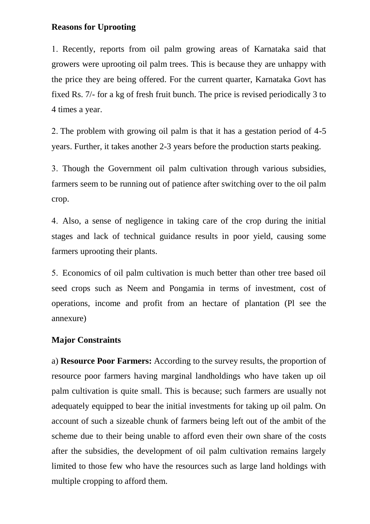## **Reasons for Uprooting**

 Recently, reports from oil palm growing areas of Karnataka said that growers were uprooting oil palm trees. This is because they are unhappy with the price they are being offered. For the current quarter, Karnataka Govt has fixed Rs. 7/- for a kg of fresh fruit bunch. The price is revised periodically 3 to 4 times a year.

2. The problem with growing oil palm is that it has a gestation period of 4-5 years. Further, it takes another 2-3 years before the production starts peaking.

 Though the Government oil palm cultivation through various subsidies, farmers seem to be running out of patience after switching over to the oil palm crop.

 Also, a sense of negligence in taking care of the crop during the initial stages and lack of technical guidance results in poor yield, causing some farmers uprooting their plants.

 Economics of oil palm cultivation is much better than other tree based oil seed crops such as Neem and Pongamia in terms of investment, cost of operations, income and profit from an hectare of plantation (Pl see the annexure)

## **Major Constraints**

a) **Resource Poor Farmers:** According to the survey results, the proportion of resource poor farmers having marginal landholdings who have taken up oil palm cultivation is quite small. This is because; such farmers are usually not adequately equipped to bear the initial investments for taking up oil palm. On account of such a sizeable chunk of farmers being left out of the ambit of the scheme due to their being unable to afford even their own share of the costs after the subsidies, the development of oil palm cultivation remains largely limited to those few who have the resources such as large land holdings with multiple cropping to afford them.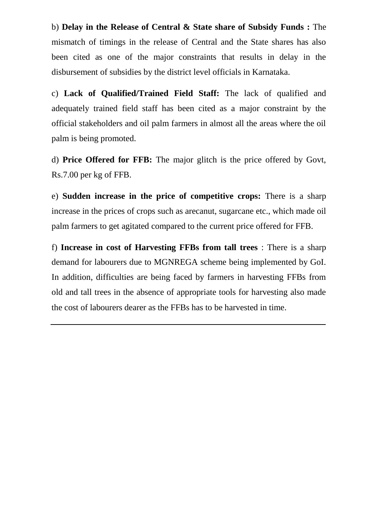b) **Delay in the Release of Central & State share of Subsidy Funds :** The mismatch of timings in the release of Central and the State shares has also been cited as one of the major constraints that results in delay in the disbursement of subsidies by the district level officials in Karnataka.

c) **Lack of Qualified/Trained Field Staff:** The lack of qualified and adequately trained field staff has been cited as a major constraint by the official stakeholders and oil palm farmers in almost all the areas where the oil palm is being promoted.

d) **Price Offered for FFB:** The major glitch is the price offered by Govt, Rs.7.00 per kg of FFB.

e) **Sudden increase in the price of competitive crops:** There is a sharp increase in the prices of crops such as arecanut, sugarcane etc., which made oil palm farmers to get agitated compared to the current price offered for FFB.

f) **Increase in cost of Harvesting FFBs from tall trees** : There is a sharp demand for labourers due to MGNREGA scheme being implemented by GoI. In addition, difficulties are being faced by farmers in harvesting FFBs from old and tall trees in the absence of appropriate tools for harvesting also made the cost of labourers dearer as the FFBs has to be harvested in time.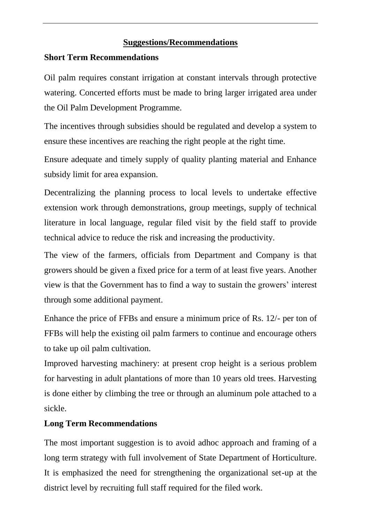## **Suggestions/Recommendations**

## **Short Term Recommendations**

Oil palm requires constant irrigation at constant intervals through protective watering. Concerted efforts must be made to bring larger irrigated area under the Oil Palm Development Programme.

The incentives through subsidies should be regulated and develop a system to ensure these incentives are reaching the right people at the right time.

Ensure adequate and timely supply of quality planting material and Enhance subsidy limit for area expansion.

Decentralizing the planning process to local levels to undertake effective extension work through demonstrations, group meetings, supply of technical literature in local language, regular filed visit by the field staff to provide technical advice to reduce the risk and increasing the productivity.

The view of the farmers, officials from Department and Company is that growers should be given a fixed price for a term of at least five years. Another view is that the Government has to find a way to sustain the growers' interest through some additional payment.

Enhance the price of FFBs and ensure a minimum price of Rs. 12/- per ton of FFBs will help the existing oil palm farmers to continue and encourage others to take up oil palm cultivation.

Improved harvesting machinery: at present crop height is a serious problem for harvesting in adult plantations of more than 10 years old trees. Harvesting is done either by climbing the tree or through an aluminum pole attached to a sickle.

## **Long Term Recommendations**

The most important suggestion is to avoid adhoc approach and framing of a long term strategy with full involvement of State Department of Horticulture. It is emphasized the need for strengthening the organizational set-up at the district level by recruiting full staff required for the filed work.